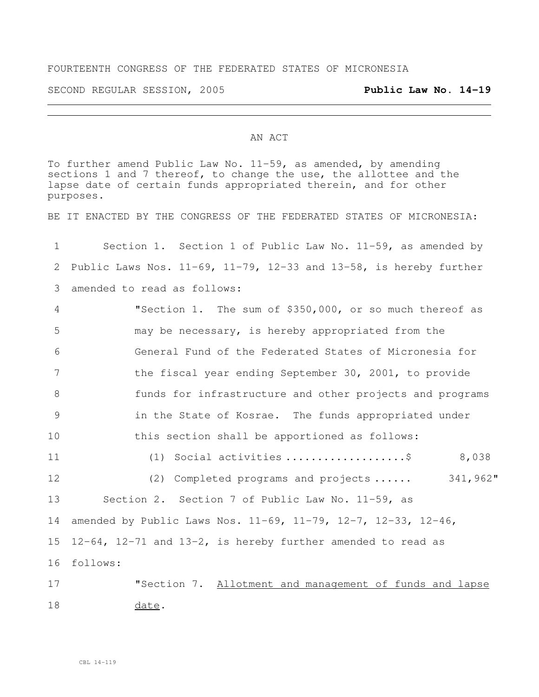## FOURTEENTH CONGRESS OF THE FEDERATED STATES OF MICRONESIA

SECOND REGULAR SESSION, 2005 **Public Law No. 14-19**

<u> 1980 - Johann Barn, fransk politik (f. 1980)</u>

## AN ACT

To further amend Public Law No. 11-59, as amended, by amending sections 1 and 7 thereof, to change the use, the allottee and the lapse date of certain funds appropriated therein, and for other purposes.

BE IT ENACTED BY THE CONGRESS OF THE FEDERATED STATES OF MICRONESIA:

| 1  | Section 1. Section 1 of Public Law No. 11-59, as amended by                  |
|----|------------------------------------------------------------------------------|
| 2  | Public Laws Nos. $11-69$ , $11-79$ , $12-33$ and $13-58$ , is hereby further |
| 3  | amended to read as follows:                                                  |
| 4  | "Section 1. The sum of \$350,000, or so much thereof as                      |
| 5  | may be necessary, is hereby appropriated from the                            |
| 6  | General Fund of the Federated States of Micronesia for                       |
| 7  | the fiscal year ending September 30, 2001, to provide                        |
| 8  | funds for infrastructure and other projects and programs                     |
| 9  | in the State of Kosrae. The funds appropriated under                         |
| 10 | this section shall be apportioned as follows:                                |
| 11 | (1) Social activities \$<br>8,038                                            |
| 12 | 341,962"<br>(2) Completed programs and projects                              |
| 13 | Section 2. Section 7 of Public Law No. 11-59, as                             |
| 14 | amended by Public Laws Nos. $11-69$ , $11-79$ , $12-7$ , $12-33$ , $12-46$ , |
| 15 | $12-64$ , $12-71$ and $13-2$ , is hereby further amended to read as          |
| 16 | follows:                                                                     |
| 17 | "Section 7. Allotment and management of funds and lapse                      |
|    |                                                                              |

18 date.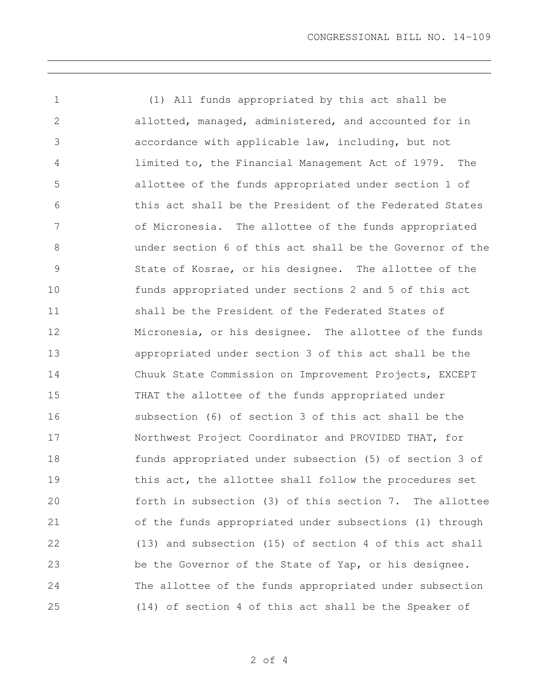(1) All funds appropriated by this act shall be allotted, managed, administered, and accounted for in accordance with applicable law, including, but not limited to, the Financial Management Act of 1979. The allottee of the funds appropriated under section 1 of this act shall be the President of the Federated States of Micronesia. The allottee of the funds appropriated under section 6 of this act shall be the Governor of the State of Kosrae, or his designee. The allottee of the funds appropriated under sections 2 and 5 of this act shall be the President of the Federated States of Micronesia, or his designee. The allottee of the funds appropriated under section 3 of this act shall be the Chuuk State Commission on Improvement Projects, EXCEPT THAT the allottee of the funds appropriated under subsection (6) of section 3 of this act shall be the Northwest Project Coordinator and PROVIDED THAT, for funds appropriated under subsection (5) of section 3 of this act, the allottee shall follow the procedures set forth in subsection (3) of this section 7. The allottee of the funds appropriated under subsections (1) through (13) and subsection (15) of section 4 of this act shall be the Governor of the State of Yap, or his designee. The allottee of the funds appropriated under subsection (14) of section 4 of this act shall be the Speaker of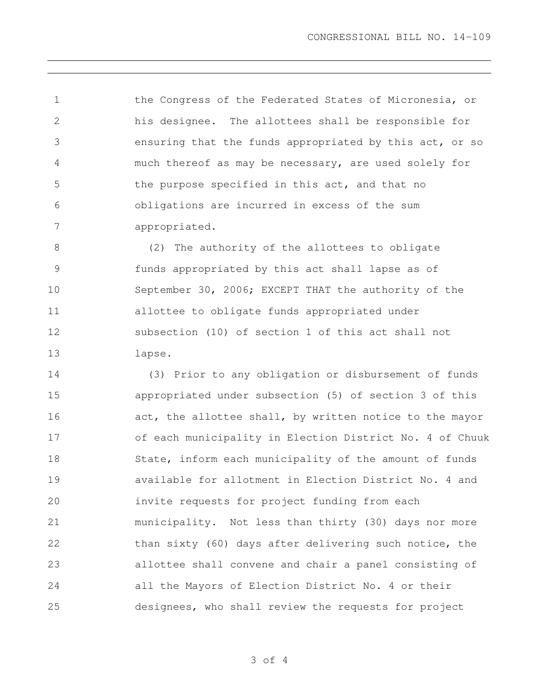CONGRESSIONAL BILL NO. 14-109

 the Congress of the Federated States of Micronesia, or his designee. The allottees shall be responsible for ensuring that the funds appropriated by this act, or so much thereof as may be necessary, are used solely for the purpose specified in this act, and that no obligations are incurred in excess of the sum appropriated.

 (2) The authority of the allottees to obligate funds appropriated by this act shall lapse as of September 30, 2006; EXCEPT THAT the authority of the allottee to obligate funds appropriated under subsection (10) of section 1 of this act shall not lapse.

 (3) Prior to any obligation or disbursement of funds appropriated under subsection (5) of section 3 of this 16 act, the allottee shall, by written notice to the mayor of each municipality in Election District No. 4 of Chuuk 18 State, inform each municipality of the amount of funds available for allotment in Election District No. 4 and invite requests for project funding from each municipality. Not less than thirty (30) days nor more 22 than sixty (60) days after delivering such notice, the allottee shall convene and chair a panel consisting of all the Mayors of Election District No. 4 or their designees, who shall review the requests for project

of 4